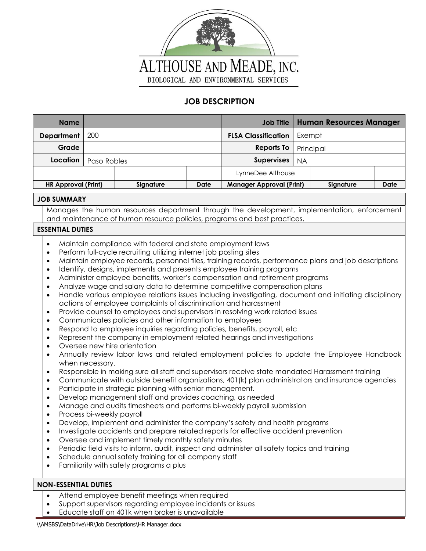

## **JOB DESCRIPTION**

| <b>Name</b>                                                                                                                                                                                                                                                                                                                                                                                                                                                                                                                                                                                                                                                                                                                                                                                                                                                                                                                                                                                                                                                                                                                                                                                                                                                                                                                                                                                                                                                                                                                                                                                                                                                                                                                                                                                                                                                                                                                                                                                                                                                                                                                                                                                                                                                                                                                                                            |           |                   | <b>Job Title</b>                |           | <b>Human Resources Manager</b> |             |  |  |
|------------------------------------------------------------------------------------------------------------------------------------------------------------------------------------------------------------------------------------------------------------------------------------------------------------------------------------------------------------------------------------------------------------------------------------------------------------------------------------------------------------------------------------------------------------------------------------------------------------------------------------------------------------------------------------------------------------------------------------------------------------------------------------------------------------------------------------------------------------------------------------------------------------------------------------------------------------------------------------------------------------------------------------------------------------------------------------------------------------------------------------------------------------------------------------------------------------------------------------------------------------------------------------------------------------------------------------------------------------------------------------------------------------------------------------------------------------------------------------------------------------------------------------------------------------------------------------------------------------------------------------------------------------------------------------------------------------------------------------------------------------------------------------------------------------------------------------------------------------------------------------------------------------------------------------------------------------------------------------------------------------------------------------------------------------------------------------------------------------------------------------------------------------------------------------------------------------------------------------------------------------------------------------------------------------------------------------------------------------------------|-----------|-------------------|---------------------------------|-----------|--------------------------------|-------------|--|--|
| 200<br><b>Department</b>                                                                                                                                                                                                                                                                                                                                                                                                                                                                                                                                                                                                                                                                                                                                                                                                                                                                                                                                                                                                                                                                                                                                                                                                                                                                                                                                                                                                                                                                                                                                                                                                                                                                                                                                                                                                                                                                                                                                                                                                                                                                                                                                                                                                                                                                                                                                               |           |                   | <b>FLSA Classification</b>      | Exempt    |                                |             |  |  |
| Grade                                                                                                                                                                                                                                                                                                                                                                                                                                                                                                                                                                                                                                                                                                                                                                                                                                                                                                                                                                                                                                                                                                                                                                                                                                                                                                                                                                                                                                                                                                                                                                                                                                                                                                                                                                                                                                                                                                                                                                                                                                                                                                                                                                                                                                                                                                                                                                  |           |                   | <b>Reports To</b>               | Principal |                                |             |  |  |
| Location<br>Paso Robles                                                                                                                                                                                                                                                                                                                                                                                                                                                                                                                                                                                                                                                                                                                                                                                                                                                                                                                                                                                                                                                                                                                                                                                                                                                                                                                                                                                                                                                                                                                                                                                                                                                                                                                                                                                                                                                                                                                                                                                                                                                                                                                                                                                                                                                                                                                                                |           | <b>Supervises</b> | <b>NA</b>                       |           |                                |             |  |  |
|                                                                                                                                                                                                                                                                                                                                                                                                                                                                                                                                                                                                                                                                                                                                                                                                                                                                                                                                                                                                                                                                                                                                                                                                                                                                                                                                                                                                                                                                                                                                                                                                                                                                                                                                                                                                                                                                                                                                                                                                                                                                                                                                                                                                                                                                                                                                                                        |           |                   | LynneDee Althouse               |           |                                |             |  |  |
| <b>HR Approval (Print)</b>                                                                                                                                                                                                                                                                                                                                                                                                                                                                                                                                                                                                                                                                                                                                                                                                                                                                                                                                                                                                                                                                                                                                                                                                                                                                                                                                                                                                                                                                                                                                                                                                                                                                                                                                                                                                                                                                                                                                                                                                                                                                                                                                                                                                                                                                                                                                             | Signature | <b>Date</b>       | <b>Manager Approval (Print)</b> |           | Signature                      | <b>Date</b> |  |  |
| <b>JOB SUMMARY</b>                                                                                                                                                                                                                                                                                                                                                                                                                                                                                                                                                                                                                                                                                                                                                                                                                                                                                                                                                                                                                                                                                                                                                                                                                                                                                                                                                                                                                                                                                                                                                                                                                                                                                                                                                                                                                                                                                                                                                                                                                                                                                                                                                                                                                                                                                                                                                     |           |                   |                                 |           |                                |             |  |  |
| Manages the human resources department through the development, implementation, enforcement                                                                                                                                                                                                                                                                                                                                                                                                                                                                                                                                                                                                                                                                                                                                                                                                                                                                                                                                                                                                                                                                                                                                                                                                                                                                                                                                                                                                                                                                                                                                                                                                                                                                                                                                                                                                                                                                                                                                                                                                                                                                                                                                                                                                                                                                            |           |                   |                                 |           |                                |             |  |  |
| and maintenance of human resource policies, programs and best practices.                                                                                                                                                                                                                                                                                                                                                                                                                                                                                                                                                                                                                                                                                                                                                                                                                                                                                                                                                                                                                                                                                                                                                                                                                                                                                                                                                                                                                                                                                                                                                                                                                                                                                                                                                                                                                                                                                                                                                                                                                                                                                                                                                                                                                                                                                               |           |                   |                                 |           |                                |             |  |  |
| <b>ESSENTIAL DUTIES</b>                                                                                                                                                                                                                                                                                                                                                                                                                                                                                                                                                                                                                                                                                                                                                                                                                                                                                                                                                                                                                                                                                                                                                                                                                                                                                                                                                                                                                                                                                                                                                                                                                                                                                                                                                                                                                                                                                                                                                                                                                                                                                                                                                                                                                                                                                                                                                |           |                   |                                 |           |                                |             |  |  |
| Maintain compliance with federal and state employment laws<br>$\bullet$<br>Perform full-cycle recruiting utilizing internet job posting sites<br>$\bullet$<br>Maintain employee records, personnel files, training records, performance plans and job descriptions<br>$\bullet$<br>Identify, designs, implements and presents employee training programs<br>٠<br>Administer employee benefits, worker's compensation and retirement programs<br>$\bullet$<br>Analyze wage and salary data to determine competitive compensation plans<br>$\bullet$<br>Handle various employee relations issues including investigating, document and initiating disciplinary<br>$\bullet$<br>actions of employee complaints of discrimination and harassment<br>Provide counsel to employees and supervisors in resolving work related issues<br>$\bullet$<br>Communicates policies and other information to employees<br>$\bullet$<br>Respond to employee inquiries regarding policies, benefits, payroll, etc<br>$\bullet$<br>Represent the company in employment related hearings and investigations<br>$\bullet$<br>Oversee new hire orientation<br>$\bullet$<br>Annually review labor laws and related employment policies to update the Employee Handbook<br>$\bullet$<br>when necessary.<br>Responsible in making sure all staff and supervisors receive state mandated Harassment training<br>$\bullet$<br>Communicate with outside benefit organizations, 401(k) plan administrators and insurance agencies<br>$\bullet$<br>Participate in strategic planning with senior management.<br>$\bullet$<br>Develop management staff and provides coaching, as needed<br>$\bullet$<br>Manage and audits timesheets and performs bi-weekly payroll submission<br>$\bullet$<br>Process bi-weekly payroll<br>٠<br>Develop, implement and administer the company's safety and health programs<br>Investigate accidents and prepare related reports for effective accident prevention<br>$\bullet$<br>Oversee and implement timely monthly safety minutes<br>٠<br>Periodic field visits to inform, audit, inspect and administer all safety topics and training<br>٠<br>Schedule annual safety training for all company staff<br>٠<br>Familiarity with safety programs a plus<br>$\bullet$<br><b>NON-ESSENTIAL DUTIES</b><br>Attend employee benefit meetings when required<br>$\bullet$ |           |                   |                                 |           |                                |             |  |  |

• Educate staff on 401k when broker is unavailable